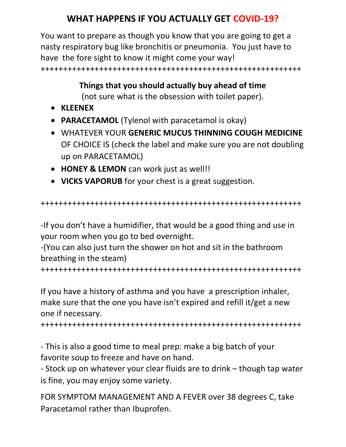## WHAT HAPPENS IF YOU ACTUALLY GET COVID-19?

You want to prepare as though you know that you are going to get a nasty respiratory bug like bronchitis or pneumonia. You just have to have the fore sight to know it might come your way! ++++++++++++++++++++++++++++++++++++++++++++++++++++++++++

## Things that you should actually buy ahead of time

(not sure what is the obsession with toilet paper).

- KLEENEX
- PARACETAMOL (Tylenol with paracetamol is okay)
- WHATEVER YOUR GENERIC MUCUS THINNING COUGH MEDICINE OF CHOICE IS (check the label and make sure you are not doubling up on PARACETAMOL)
- HONEY & LEMON can work just as well!!
- VICKS VAPORUB for your chest is a great suggestion.

```
++++++++++++++++++++++++++++++++++++++++++++++++++++++++++
```
-If you don't have a humidifier, that would be a good thing and use in your room when you go to bed overnight.

-(You can also just turn the shower on hot and sit in the bathroom breathing in the steam)

++++++++++++++++++++++++++++++++++++++++++++++++++++++++++

If you have a history of asthma and you have a prescription inhaler, make sure that the one you have isn't expired and refill it/get a new one if necessary.

++++++++++++++++++++++++++++++++++++++++++++++++++++++++++

- This is also a good time to meal prep: make a big batch of your favorite soup to freeze and have on hand.

- Stock up on whatever your clear fluids are to drink – though tap water is fine, you may enjoy some variety.

FOR SYMPTOM MANAGEMENT AND A FEVER over 38 degrees C, take Paracetamol rather than Ibuprofen.